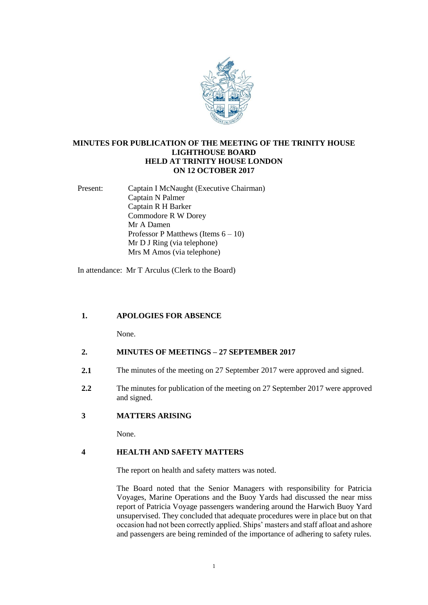

# **MINUTES FOR PUBLICATION OF THE MEETING OF THE TRINITY HOUSE LIGHTHOUSE BOARD HELD AT TRINITY HOUSE LONDON ON 12 OCTOBER 2017**

Present: Captain I McNaught (Executive Chairman) Captain N Palmer Captain R H Barker Commodore R W Dorey Mr A Damen Professor P Matthews (Items  $6 - 10$ ) Mr D J Ring (via telephone) Mrs M Amos (via telephone)

In attendance: Mr T Arculus (Clerk to the Board)

# **1. APOLOGIES FOR ABSENCE**

None.

# **2. MINUTES OF MEETINGS – 27 SEPTEMBER 2017**

- **2.1** The minutes of the meeting on 27 September 2017 were approved and signed.
- **2.2** The minutes for publication of the meeting on 27 September 2017 were approved and signed.

## **3 MATTERS ARISING**

None.

## **4 HEALTH AND SAFETY MATTERS**

The report on health and safety matters was noted.

The Board noted that the Senior Managers with responsibility for Patricia Voyages, Marine Operations and the Buoy Yards had discussed the near miss report of Patricia Voyage passengers wandering around the Harwich Buoy Yard unsupervised. They concluded that adequate procedures were in place but on that occasion had not been correctly applied. Ships' masters and staff afloat and ashore and passengers are being reminded of the importance of adhering to safety rules.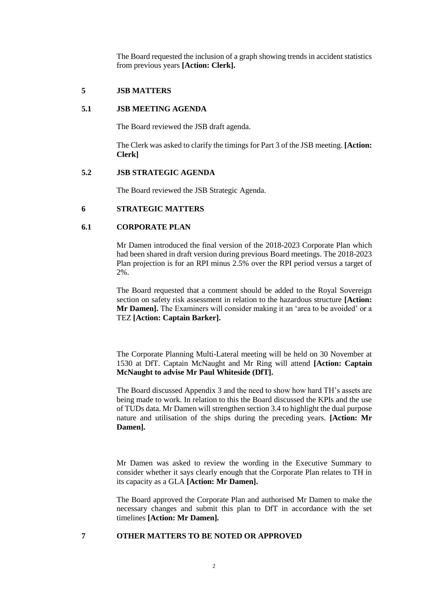The Board requested the inclusion of a graph showing trends in accident statistics from previous years **[Action: Clerk].**

# **5 JSB MATTERS**

#### **5.1 JSB MEETING AGENDA**

The Board reviewed the JSB draft agenda.

The Clerk was asked to clarify the timings for Part 3 of the JSB meeting. **[Action: Clerk]**

### **5.2 JSB STRATEGIC AGENDA**

The Board reviewed the JSB Strategic Agenda.

### **6 STRATEGIC MATTERS**

## **6.1 CORPORATE PLAN**

Mr Damen introduced the final version of the 2018-2023 Corporate Plan which had been shared in draft version during previous Board meetings. The 2018-2023 Plan projection is for an RPI minus 2.5% over the RPI period versus a target of 2%.

The Board requested that a comment should be added to the Royal Sovereign section on safety risk assessment in relation to the hazardous structure **[Action: Mr Damen].** The Examiners will consider making it an 'area to be avoided' or a TEZ **[Action: Captain Barker].**

The Corporate Planning Multi-Lateral meeting will be held on 30 November at 1530 at DfT. Captain McNaught and Mr Ring will attend **[Action: Captain McNaught to advise Mr Paul Whiteside (DfT].**

The Board discussed Appendix 3 and the need to show how hard TH's assets are being made to work. In relation to this the Board discussed the KPIs and the use of TUDs data. Mr Damen will strengthen section 3.4 to highlight the dual purpose nature and utilisation of the ships during the preceding years. **[Action: Mr Damen].**

Mr Damen was asked to review the wording in the Executive Summary to consider whether it says clearly enough that the Corporate Plan relates to TH in its capacity as a GLA **[Action: Mr Damen].**

The Board approved the Corporate Plan and authorised Mr Damen to make the necessary changes and submit this plan to DfT in accordance with the set timelines **[Action: Mr Damen].**

**7 OTHER MATTERS TO BE NOTED OR APPROVED**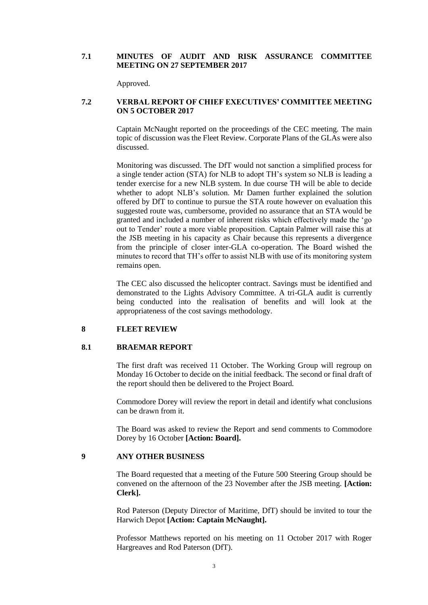## **7.1 MINUTES OF AUDIT AND RISK ASSURANCE COMMITTEE MEETING ON 27 SEPTEMBER 2017**

Approved.

## **7.2 VERBAL REPORT OF CHIEF EXECUTIVES' COMMITTEE MEETING ON 5 OCTOBER 2017**

Captain McNaught reported on the proceedings of the CEC meeting. The main topic of discussion was the Fleet Review. Corporate Plans of the GLAs were also discussed.

Monitoring was discussed. The DfT would not sanction a simplified process for a single tender action (STA) for NLB to adopt TH's system so NLB is leading a tender exercise for a new NLB system. In due course TH will be able to decide whether to adopt NLB's solution. Mr Damen further explained the solution offered by DfT to continue to pursue the STA route however on evaluation this suggested route was, cumbersome, provided no assurance that an STA would be granted and included a number of inherent risks which effectively made the 'go out to Tender' route a more viable proposition. Captain Palmer will raise this at the JSB meeting in his capacity as Chair because this represents a divergence from the principle of closer inter-GLA co-operation. The Board wished the minutes to record that TH's offer to assist NLB with use of its monitoring system remains open.

The CEC also discussed the helicopter contract. Savings must be identified and demonstrated to the Lights Advisory Committee. A tri-GLA audit is currently being conducted into the realisation of benefits and will look at the appropriateness of the cost savings methodology.

#### **8 FLEET REVIEW**

## **8.1 BRAEMAR REPORT**

The first draft was received 11 October. The Working Group will regroup on Monday 16 October to decide on the initial feedback. The second or final draft of the report should then be delivered to the Project Board.

Commodore Dorey will review the report in detail and identify what conclusions can be drawn from it.

The Board was asked to review the Report and send comments to Commodore Dorey by 16 October **[Action: Board].**

### **9 ANY OTHER BUSINESS**

The Board requested that a meeting of the Future 500 Steering Group should be convened on the afternoon of the 23 November after the JSB meeting. **[Action: Clerk].**

Rod Paterson (Deputy Director of Maritime, DfT) should be invited to tour the Harwich Depot **[Action: Captain McNaught].**

Professor Matthews reported on his meeting on 11 October 2017 with Roger Hargreaves and Rod Paterson (DfT).